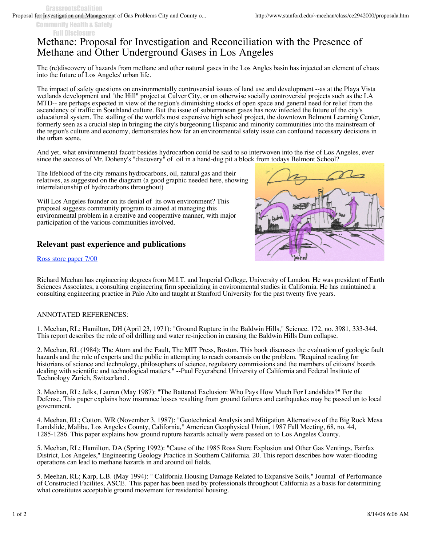Community Health & Safety Full Disclosure

## Methane: Proposal for Investigation and Reconciliation with the Presence of Methane and Other Underground Gases in Los Angeles

The (re)discovery of hazards from methane and other natural gases in the Los Angles basin has injected an element of chaos into the future of Los Angeles' urban life.

The impact of safety questions on environmentally controversial issues of land use and development --as at the Playa Vista wetlands development and "the Hill" project at Culver City, or on otherwise socially controversial projects such as the LA MTD-- are perhaps expected in view of the region's diminishing stocks of open space and general need for relief from the ascendency of traffic in Southland culture. But the issue of subterranean gases has now infected the future of the city's educational system. The stalling of the world's most expensive high school project, the downtown Belmont Learning Center, formerly seen as a crucial step in bringing the city's burgeoning Hispanic and minority communities into the mainstream of the region's culture and economy, demonstrates how far an environmental safety issue can confound necessary decisions in the urban scene.

And yet, what environmental facotr besides hydrocarbon could be said to so interwoven into the rise of Los Angeles, ever since the success of Mr. Doheny's "discovery" of oil in a hand-dug pit a block from todays Belmont School?

The lifeblood of the city remains hydrocarbons, oil, natural gas and their relatives, as suggested on the diagram (a good graphic needed here, showing interrelationship of hydrocarbons throughout)

Will Los Angeles founder on its denial of its own environment? This proposal suggests community program to aimed at managing this environmental problem in a creative and cooperative manner, with major participation of the various communities involved.

## **Relevant past experience and publications**

Ross store paper 7/00



Richard Meehan has engineering degrees from M.I.T. and Imperial College, University of London. He was president of Earth Sciences Associates, a consulting engineering firm specializing in environmental studies in California. He has maintained a consulting engineering practice in Palo Alto and taught at Stanford University for the past twenty five years.

## ANNOTATED REFERENCES:

1. Meehan, RL; Hamilton, DH (April 23, 1971): "Ground Rupture in the Baldwin Hills," Science. 172, no. 3981, 333-344. This report describes the role of oil drilling and water re-injection in causing the Baldwin Hills Dam collapse.

2. Meehan, RL (1984): The Atom and the Fault, The MIT Press, Boston. This book discusses the evaluation of geologic fault hazards and the role of experts and the public in attempting to reach consensis on the problem. "Required reading for historians of science and technology, philosophers of science, regulatory commissions and the members of citizens' boards dealing with scientific and technological matters." --Paul Feyerabend University of California and Federal Institute of Technology Zurich, Switzerland .

3. Meehan, RL; Jelks, Lauren (May 1987): "The Battered Exclusion: Who Pays How Much For Landslides?" For the Defense. This paper explains how insurance losses resulting from ground failures and earthquakes may be passed on to local government.

4. Meehan, RL; Cotton, WR (November 3, 1987): "Geotechnical Analysis and Mitigation Alternatives of the Big Rock Mesa Landslide, Malibu, Los Angeles County, California," American Geophysical Union, 1987 Fall Meeting, 68, no. 44, 1285-1286. This paper explains how ground rupture hazards actually were passed on to Los Angeles County.

5. Meehan, RL; Hamilton, DA (Spring 1992): "Cause of the 1985 Ross Store Explosion and Other Gas Ventings, Fairfax District, Los Angeles," Engineering Geology Practice in Southern California. 20. This report describes how water-flooding operations can lead to methane hazards in and around oil fields.

5. Meehan, RL; Karp, L.B. (May 1994): " California Housing Damage Related to Expansive Soils," Journal of Performance of Constructed Facilites, ASCE. This paper has been used by professionals throughout California as a basis for determining what constitutes acceptable ground movement for residential housing.